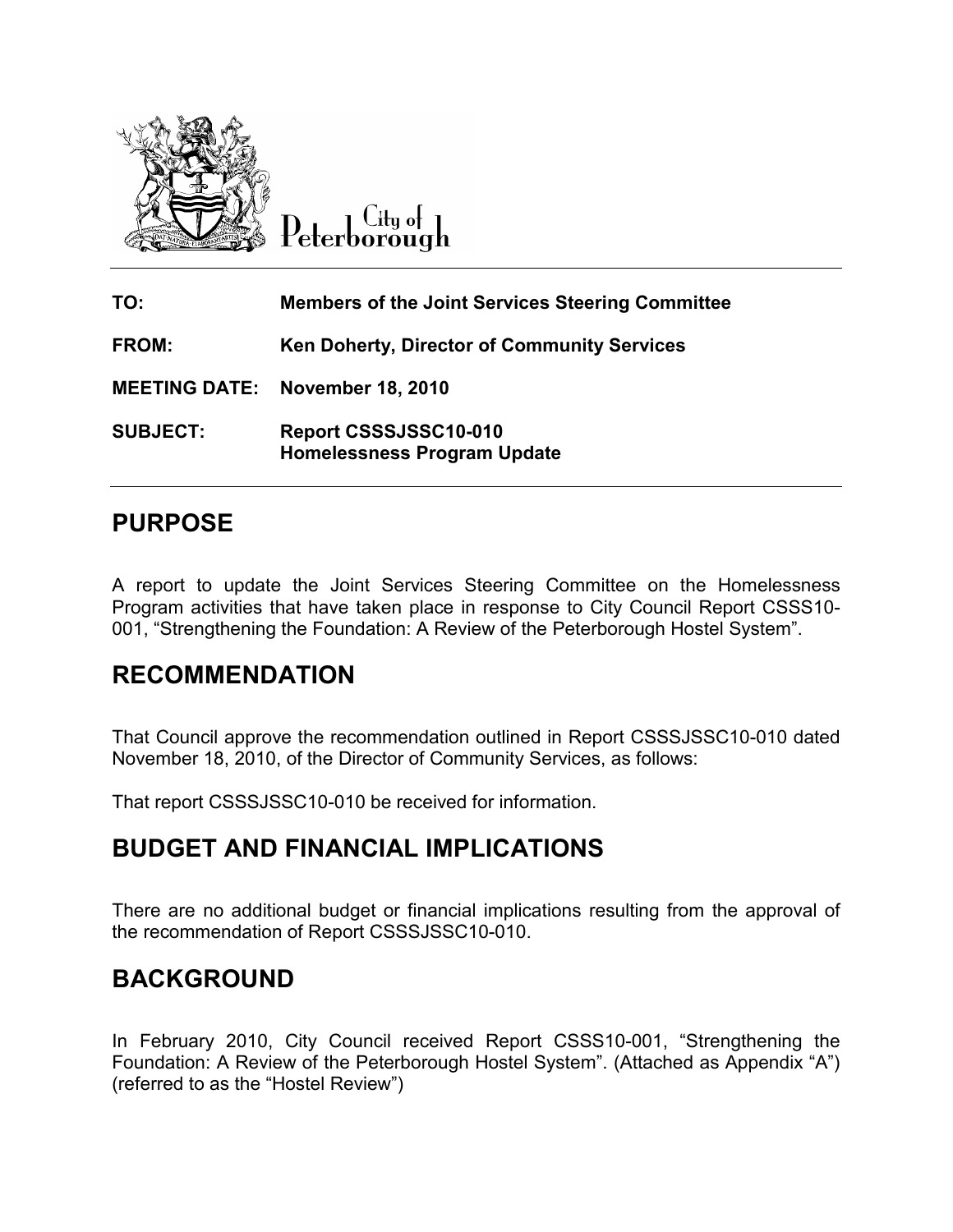

City of Peterborough

| TO:             | <b>Members of the Joint Services Steering Committee</b>     |
|-----------------|-------------------------------------------------------------|
| <b>FROM:</b>    | Ken Doherty, Director of Community Services                 |
|                 | <b>MEETING DATE: November 18, 2010</b>                      |
| <b>SUBJECT:</b> | Report CSSSJSSC10-010<br><b>Homelessness Program Update</b> |

## PURPOSE

A report to update the Joint Services Steering Committee on the Homelessness Program activities that have taken place in response to City Council Report CSSS10- 001, "Strengthening the Foundation: A Review of the Peterborough Hostel System".

## RECOMMENDATION

That Council approve the recommendation outlined in Report CSSSJSSC10-010 dated November 18, 2010, of the Director of Community Services, as follows:

That report CSSSJSSC10-010 be received for information.

## BUDGET AND FINANCIAL IMPLICATIONS

There are no additional budget or financial implications resulting from the approval of the recommendation of Report CSSSJSSC10-010.

## BACKGROUND

In February 2010, City Council received Report CSSS10-001, "Strengthening the Foundation: A Review of the Peterborough Hostel System". (Attached as Appendix "A") (referred to as the "Hostel Review")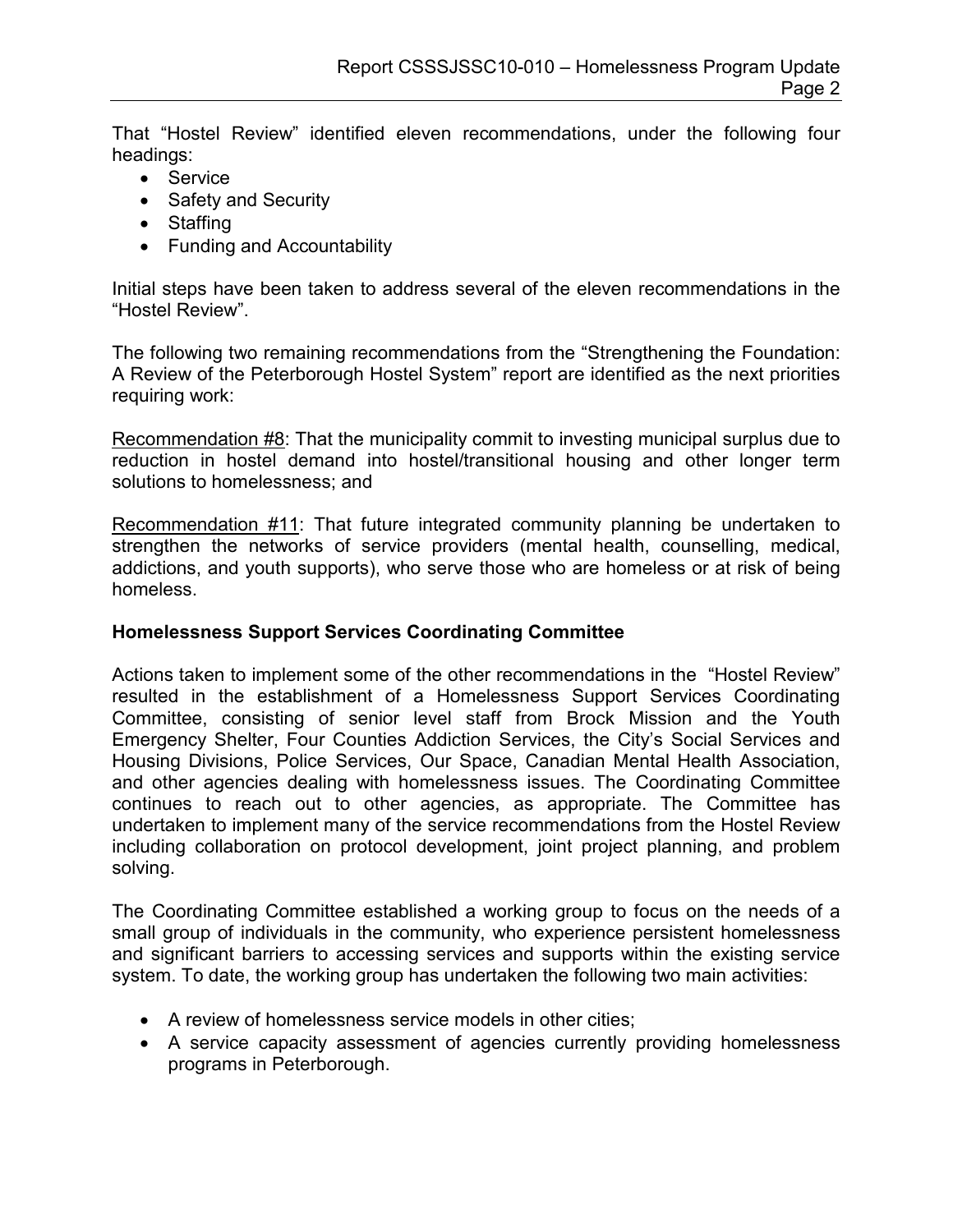That "Hostel Review" identified eleven recommendations, under the following four headings:

- Service
- Safety and Security
- Staffing
- Funding and Accountability

Initial steps have been taken to address several of the eleven recommendations in the "Hostel Review".

The following two remaining recommendations from the "Strengthening the Foundation: A Review of the Peterborough Hostel System" report are identified as the next priorities requiring work:

Recommendation #8: That the municipality commit to investing municipal surplus due to reduction in hostel demand into hostel/transitional housing and other longer term solutions to homelessness; and

Recommendation #11: That future integrated community planning be undertaken to strengthen the networks of service providers (mental health, counselling, medical, addictions, and youth supports), who serve those who are homeless or at risk of being homeless.

### Homelessness Support Services Coordinating Committee

Actions taken to implement some of the other recommendations in the "Hostel Review" resulted in the establishment of a Homelessness Support Services Coordinating Committee, consisting of senior level staff from Brock Mission and the Youth Emergency Shelter, Four Counties Addiction Services, the City's Social Services and Housing Divisions, Police Services, Our Space, Canadian Mental Health Association, and other agencies dealing with homelessness issues. The Coordinating Committee continues to reach out to other agencies, as appropriate. The Committee has undertaken to implement many of the service recommendations from the Hostel Review including collaboration on protocol development, joint project planning, and problem solving.

The Coordinating Committee established a working group to focus on the needs of a small group of individuals in the community, who experience persistent homelessness and significant barriers to accessing services and supports within the existing service system. To date, the working group has undertaken the following two main activities:

- A review of homelessness service models in other cities;
- A service capacity assessment of agencies currently providing homelessness programs in Peterborough.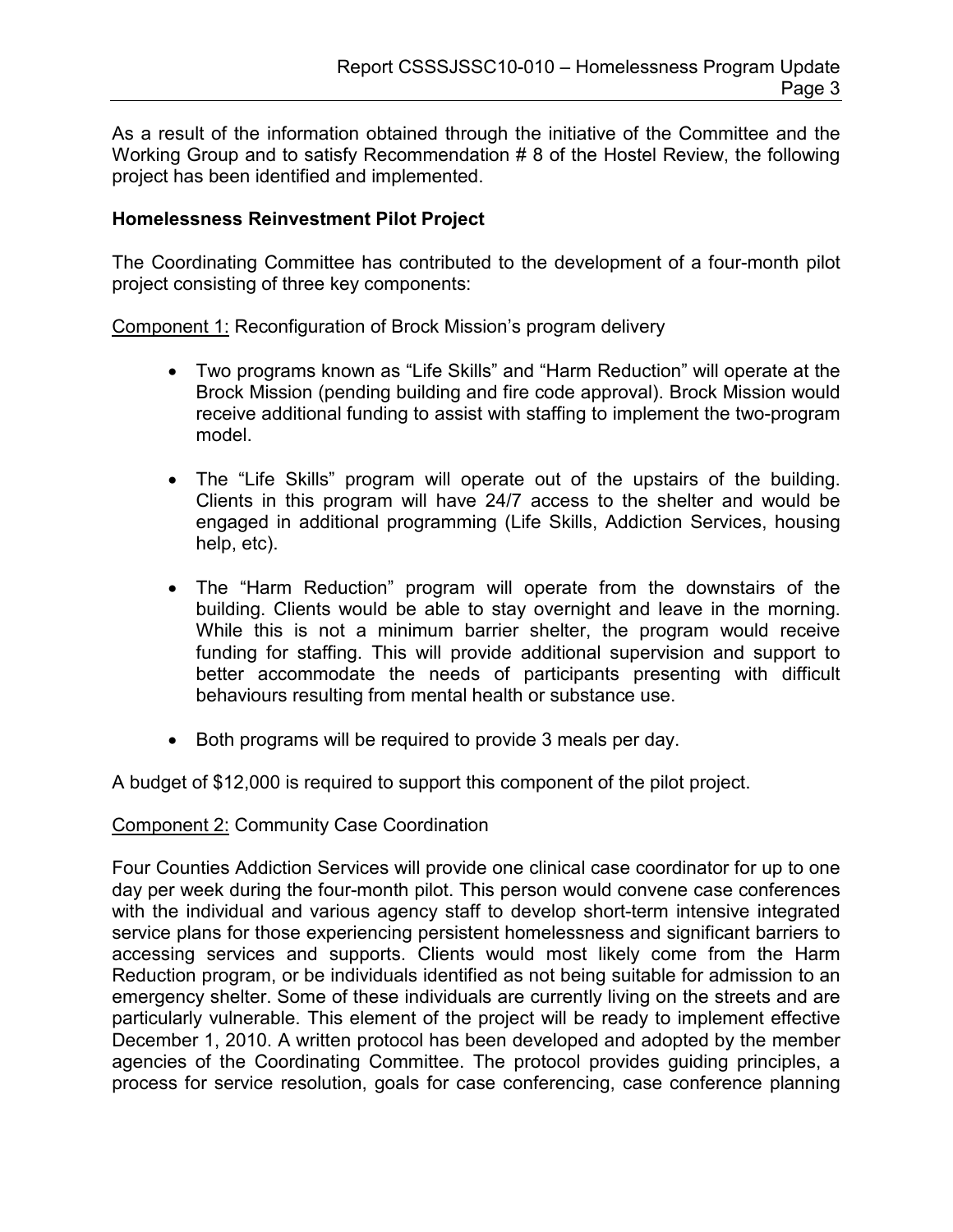As a result of the information obtained through the initiative of the Committee and the Working Group and to satisfy Recommendation # 8 of the Hostel Review, the following project has been identified and implemented.

### Homelessness Reinvestment Pilot Project

The Coordinating Committee has contributed to the development of a four-month pilot project consisting of three key components:

Component 1: Reconfiguration of Brock Mission's program delivery

- Two programs known as "Life Skills" and "Harm Reduction" will operate at the Brock Mission (pending building and fire code approval). Brock Mission would receive additional funding to assist with staffing to implement the two-program model.
- The "Life Skills" program will operate out of the upstairs of the building. Clients in this program will have 24/7 access to the shelter and would be engaged in additional programming (Life Skills, Addiction Services, housing help, etc).
- The "Harm Reduction" program will operate from the downstairs of the building. Clients would be able to stay overnight and leave in the morning. While this is not a minimum barrier shelter, the program would receive funding for staffing. This will provide additional supervision and support to better accommodate the needs of participants presenting with difficult behaviours resulting from mental health or substance use.
- Both programs will be required to provide 3 meals per day.

A budget of \$12,000 is required to support this component of the pilot project.

Component 2: Community Case Coordination

Four Counties Addiction Services will provide one clinical case coordinator for up to one day per week during the four-month pilot. This person would convene case conferences with the individual and various agency staff to develop short-term intensive integrated service plans for those experiencing persistent homelessness and significant barriers to accessing services and supports. Clients would most likely come from the Harm Reduction program, or be individuals identified as not being suitable for admission to an emergency shelter. Some of these individuals are currently living on the streets and are particularly vulnerable. This element of the project will be ready to implement effective December 1, 2010. A written protocol has been developed and adopted by the member agencies of the Coordinating Committee. The protocol provides guiding principles, a process for service resolution, goals for case conferencing, case conference planning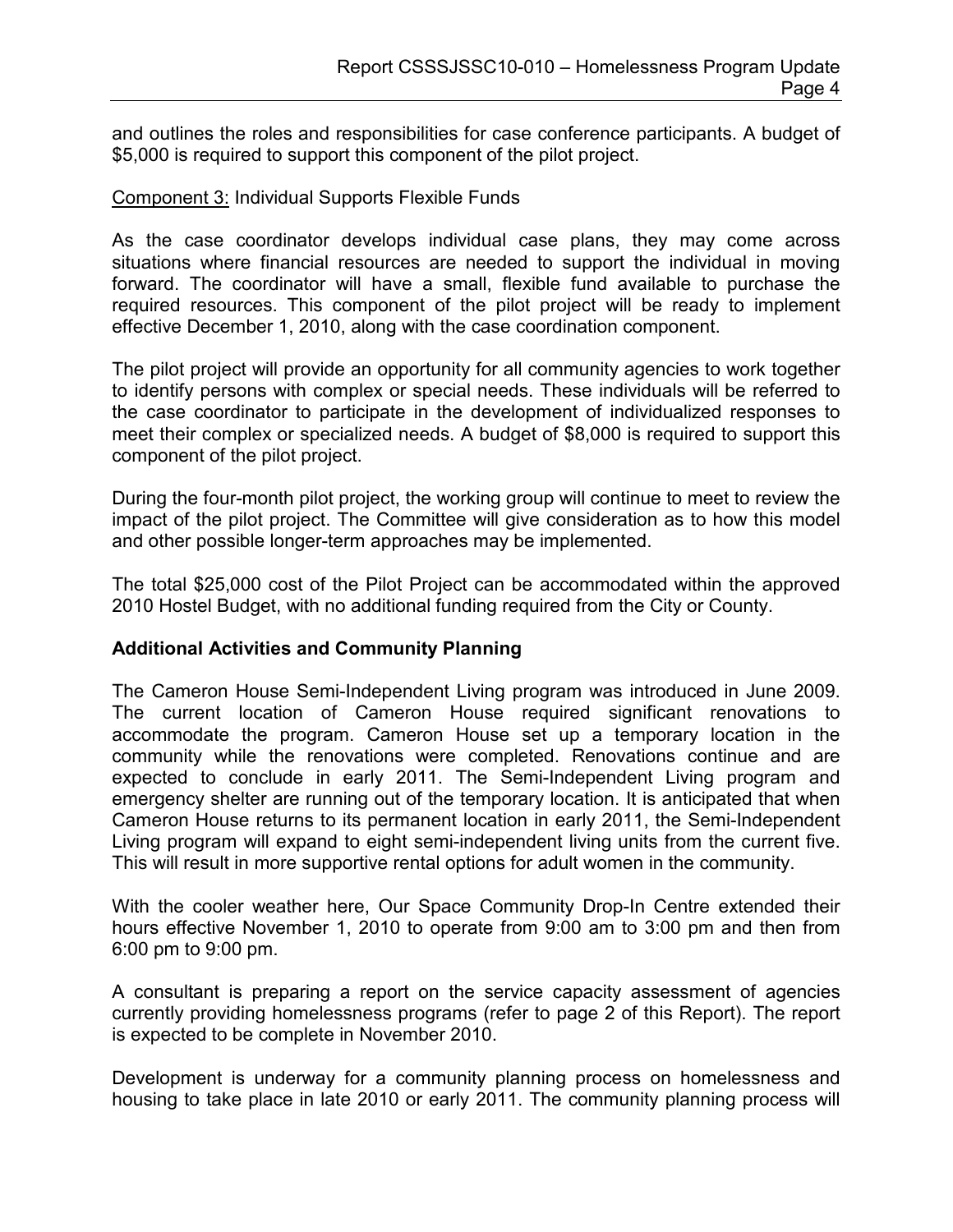and outlines the roles and responsibilities for case conference participants. A budget of \$5,000 is required to support this component of the pilot project.

### Component 3: Individual Supports Flexible Funds

As the case coordinator develops individual case plans, they may come across situations where financial resources are needed to support the individual in moving forward. The coordinator will have a small, flexible fund available to purchase the required resources. This component of the pilot project will be ready to implement effective December 1, 2010, along with the case coordination component.

The pilot project will provide an opportunity for all community agencies to work together to identify persons with complex or special needs. These individuals will be referred to the case coordinator to participate in the development of individualized responses to meet their complex or specialized needs. A budget of \$8,000 is required to support this component of the pilot project.

During the four-month pilot project, the working group will continue to meet to review the impact of the pilot project. The Committee will give consideration as to how this model and other possible longer-term approaches may be implemented.

The total \$25,000 cost of the Pilot Project can be accommodated within the approved 2010 Hostel Budget, with no additional funding required from the City or County.

### Additional Activities and Community Planning

The Cameron House Semi-Independent Living program was introduced in June 2009. The current location of Cameron House required significant renovations to accommodate the program. Cameron House set up a temporary location in the community while the renovations were completed. Renovations continue and are expected to conclude in early 2011. The Semi-Independent Living program and emergency shelter are running out of the temporary location. It is anticipated that when Cameron House returns to its permanent location in early 2011, the Semi-Independent Living program will expand to eight semi-independent living units from the current five. This will result in more supportive rental options for adult women in the community.

With the cooler weather here, Our Space Community Drop-In Centre extended their hours effective November 1, 2010 to operate from 9:00 am to 3:00 pm and then from 6:00 pm to 9:00 pm.

A consultant is preparing a report on the service capacity assessment of agencies currently providing homelessness programs (refer to page 2 of this Report). The report is expected to be complete in November 2010.

Development is underway for a community planning process on homelessness and housing to take place in late 2010 or early 2011. The community planning process will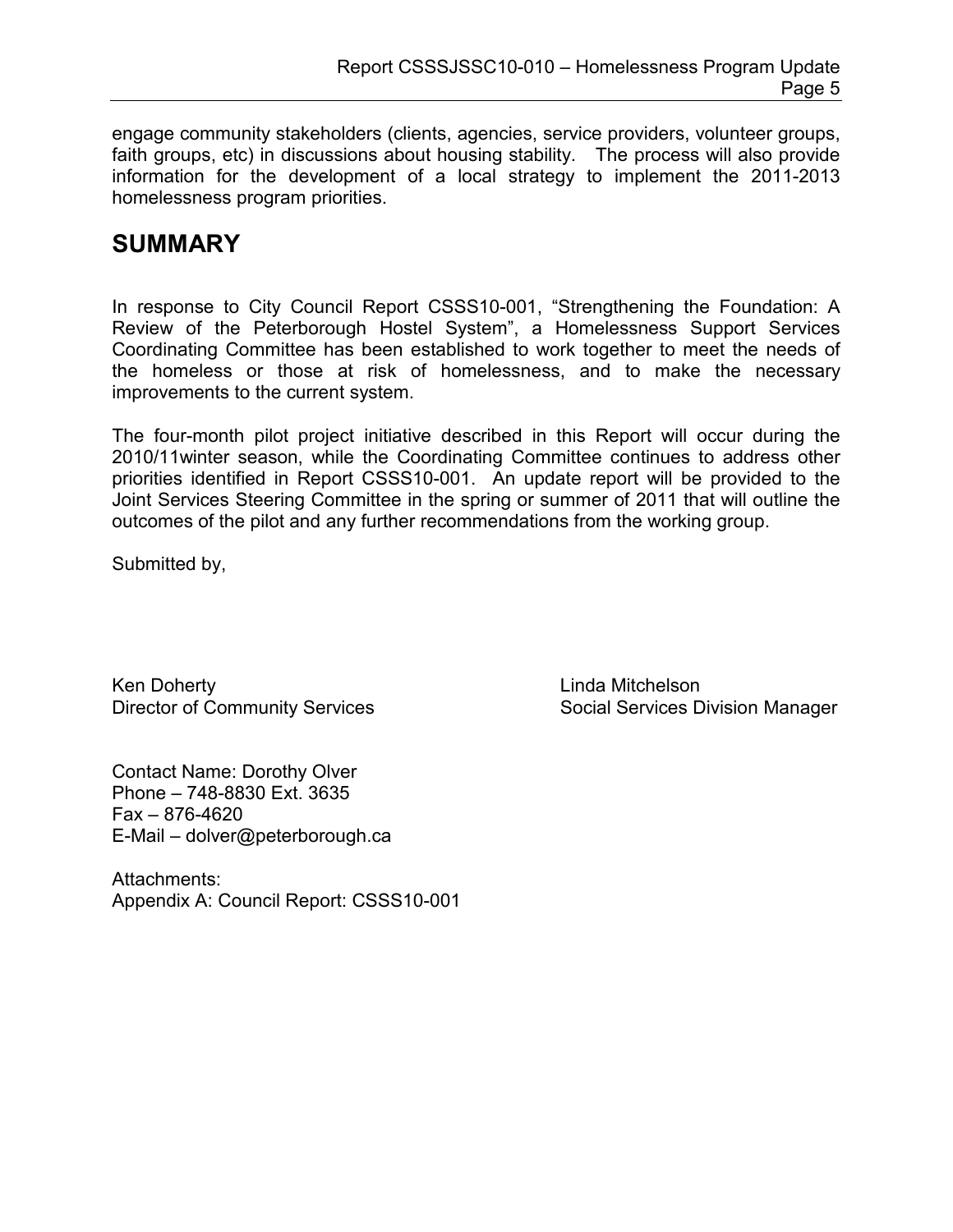engage community stakeholders (clients, agencies, service providers, volunteer groups, faith groups, etc) in discussions about housing stability. The process will also provide information for the development of a local strategy to implement the 2011-2013 homelessness program priorities.

## **SUMMARY**

In response to City Council Report CSSS10-001, "Strengthening the Foundation: A Review of the Peterborough Hostel System", a Homelessness Support Services Coordinating Committee has been established to work together to meet the needs of the homeless or those at risk of homelessness, and to make the necessary improvements to the current system.

The four-month pilot project initiative described in this Report will occur during the 2010/11winter season, while the Coordinating Committee continues to address other priorities identified in Report CSSS10-001. An update report will be provided to the Joint Services Steering Committee in the spring or summer of 2011 that will outline the outcomes of the pilot and any further recommendations from the working group.

Submitted by,

Ken Doherty **Linda Mitchelson** 

Contact Name: Dorothy Olver Phone – 748-8830 Ext. 3635 Fax – 876-4620 E-Mail – dolver@peterborough.ca

Attachments: Appendix A: Council Report: CSSS10-001

Director of Community Services Social Services Division Manager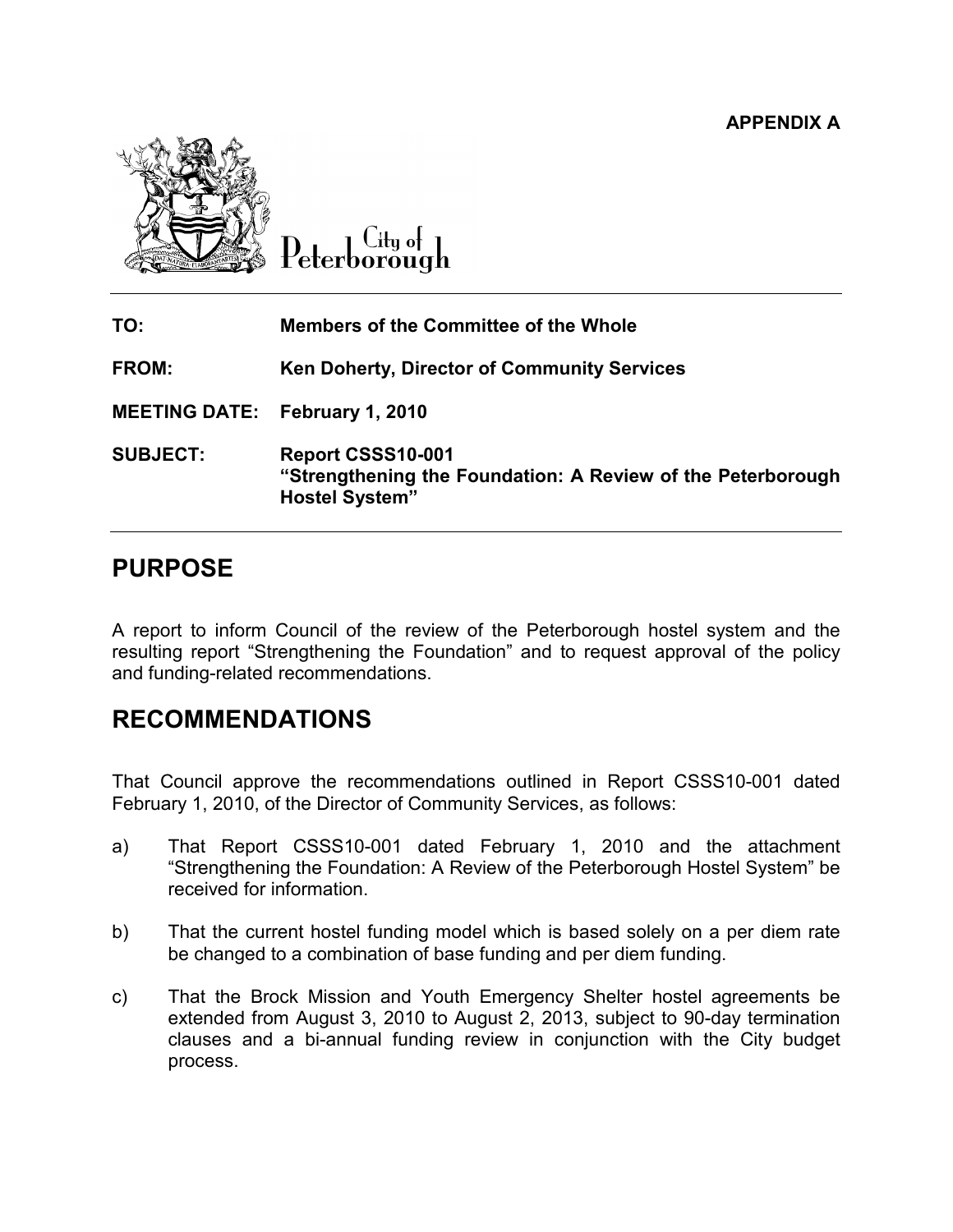APPENDIX A



Litu of 'eterborough

| TO:                                   | <b>Members of the Committee of the Whole</b>                                                              |
|---------------------------------------|-----------------------------------------------------------------------------------------------------------|
| FROM:                                 | Ken Doherty, Director of Community Services                                                               |
| <b>MEETING DATE: February 1, 2010</b> |                                                                                                           |
| <b>SUBJECT:</b>                       | Report CSSS10-001<br>"Strengthening the Foundation: A Review of the Peterborough<br><b>Hostel System"</b> |

## PURPOSE

A report to inform Council of the review of the Peterborough hostel system and the resulting report "Strengthening the Foundation" and to request approval of the policy and funding-related recommendations.

## RECOMMENDATIONS

That Council approve the recommendations outlined in Report CSSS10-001 dated February 1, 2010, of the Director of Community Services, as follows:

- a) That Report CSSS10-001 dated February 1, 2010 and the attachment "Strengthening the Foundation: A Review of the Peterborough Hostel System" be received for information.
- b) That the current hostel funding model which is based solely on a per diem rate be changed to a combination of base funding and per diem funding.
- c) That the Brock Mission and Youth Emergency Shelter hostel agreements be extended from August 3, 2010 to August 2, 2013, subject to 90-day termination clauses and a bi-annual funding review in conjunction with the City budget process.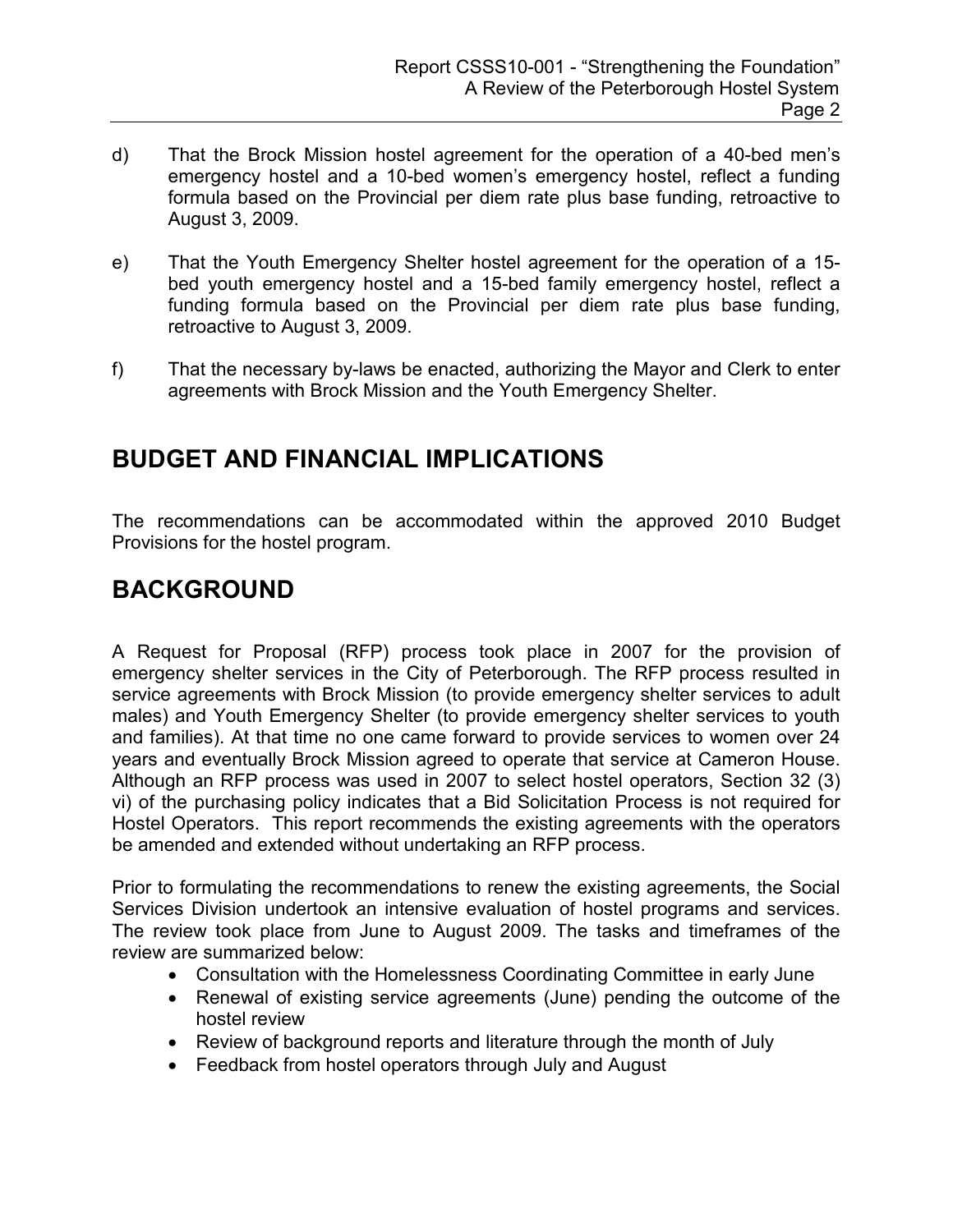- d) That the Brock Mission hostel agreement for the operation of a 40-bed men's emergency hostel and a 10-bed women's emergency hostel, reflect a funding formula based on the Provincial per diem rate plus base funding, retroactive to August 3, 2009.
- e) That the Youth Emergency Shelter hostel agreement for the operation of a 15 bed youth emergency hostel and a 15-bed family emergency hostel, reflect a funding formula based on the Provincial per diem rate plus base funding, retroactive to August 3, 2009.
- f) That the necessary by-laws be enacted, authorizing the Mayor and Clerk to enter agreements with Brock Mission and the Youth Emergency Shelter.

# BUDGET AND FINANCIAL IMPLICATIONS

The recommendations can be accommodated within the approved 2010 Budget Provisions for the hostel program.

# BACKGROUND

A Request for Proposal (RFP) process took place in 2007 for the provision of emergency shelter services in the City of Peterborough. The RFP process resulted in service agreements with Brock Mission (to provide emergency shelter services to adult males) and Youth Emergency Shelter (to provide emergency shelter services to youth and families). At that time no one came forward to provide services to women over 24 years and eventually Brock Mission agreed to operate that service at Cameron House. Although an RFP process was used in 2007 to select hostel operators, Section 32 (3) vi) of the purchasing policy indicates that a Bid Solicitation Process is not required for Hostel Operators. This report recommends the existing agreements with the operators be amended and extended without undertaking an RFP process.

Prior to formulating the recommendations to renew the existing agreements, the Social Services Division undertook an intensive evaluation of hostel programs and services. The review took place from June to August 2009. The tasks and timeframes of the review are summarized below:

- Consultation with the Homelessness Coordinating Committee in early June
- Renewal of existing service agreements (June) pending the outcome of the hostel review
- Review of background reports and literature through the month of July
- Feedback from hostel operators through July and August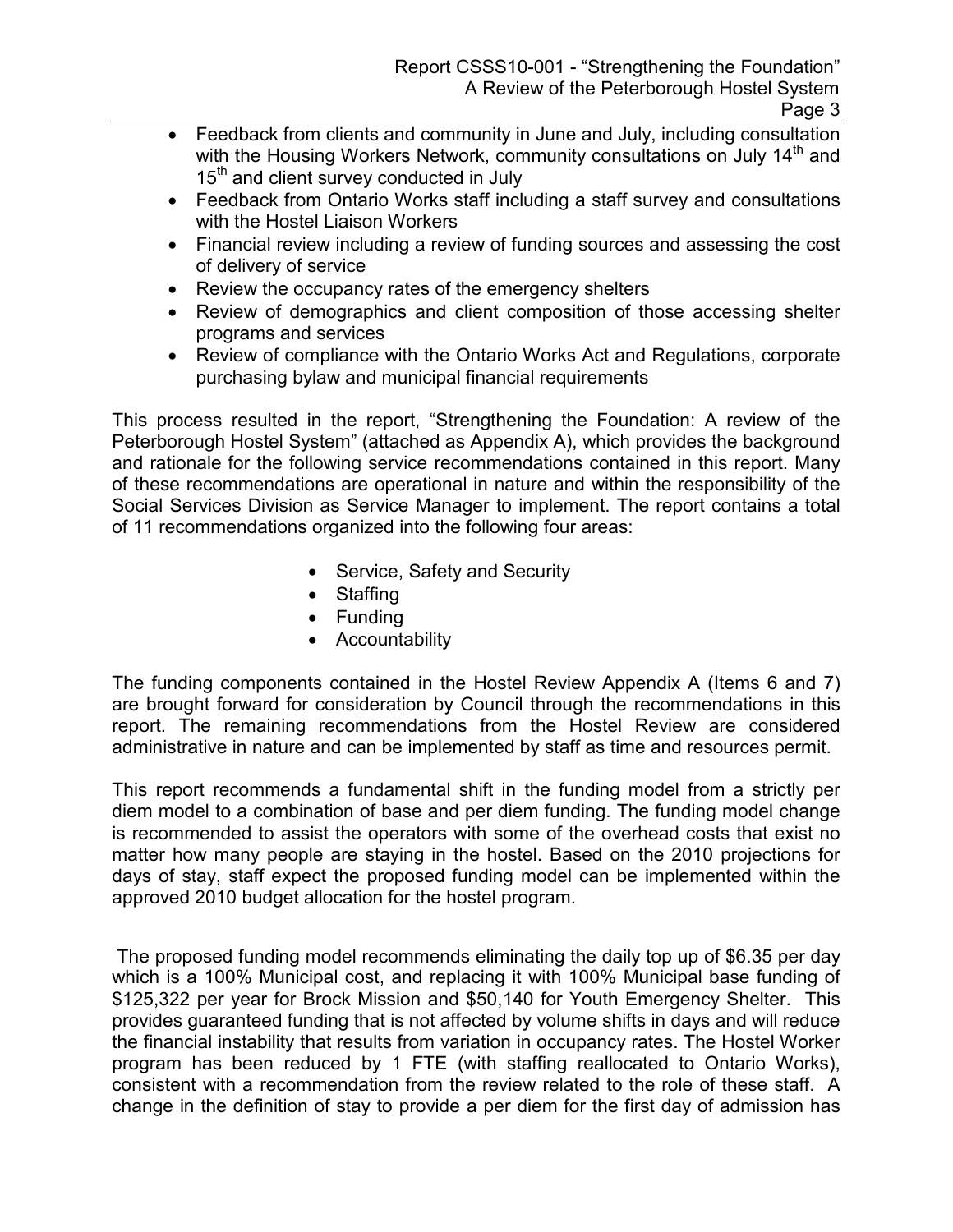- Feedback from clients and community in June and July, including consultation with the Housing Workers Network, community consultations on July 14<sup>th</sup> and 15<sup>th</sup> and client survey conducted in July
- Feedback from Ontario Works staff including a staff survey and consultations with the Hostel Liaison Workers
- Financial review including a review of funding sources and assessing the cost of delivery of service
- Review the occupancy rates of the emergency shelters
- Review of demographics and client composition of those accessing shelter programs and services
- Review of compliance with the Ontario Works Act and Regulations, corporate purchasing bylaw and municipal financial requirements

This process resulted in the report, "Strengthening the Foundation: A review of the Peterborough Hostel System" (attached as Appendix A), which provides the background and rationale for the following service recommendations contained in this report. Many of these recommendations are operational in nature and within the responsibility of the Social Services Division as Service Manager to implement. The report contains a total of 11 recommendations organized into the following four areas:

- Service, Safety and Security
- Staffing
- Funding
- Accountability

The funding components contained in the Hostel Review Appendix A (Items 6 and 7) are brought forward for consideration by Council through the recommendations in this report. The remaining recommendations from the Hostel Review are considered administrative in nature and can be implemented by staff as time and resources permit.

This report recommends a fundamental shift in the funding model from a strictly per diem model to a combination of base and per diem funding. The funding model change is recommended to assist the operators with some of the overhead costs that exist no matter how many people are staying in the hostel. Based on the 2010 projections for days of stay, staff expect the proposed funding model can be implemented within the approved 2010 budget allocation for the hostel program.

 The proposed funding model recommends eliminating the daily top up of \$6.35 per day which is a 100% Municipal cost, and replacing it with 100% Municipal base funding of \$125,322 per year for Brock Mission and \$50,140 for Youth Emergency Shelter. This provides guaranteed funding that is not affected by volume shifts in days and will reduce the financial instability that results from variation in occupancy rates. The Hostel Worker program has been reduced by 1 FTE (with staffing reallocated to Ontario Works), consistent with a recommendation from the review related to the role of these staff. A change in the definition of stay to provide a per diem for the first day of admission has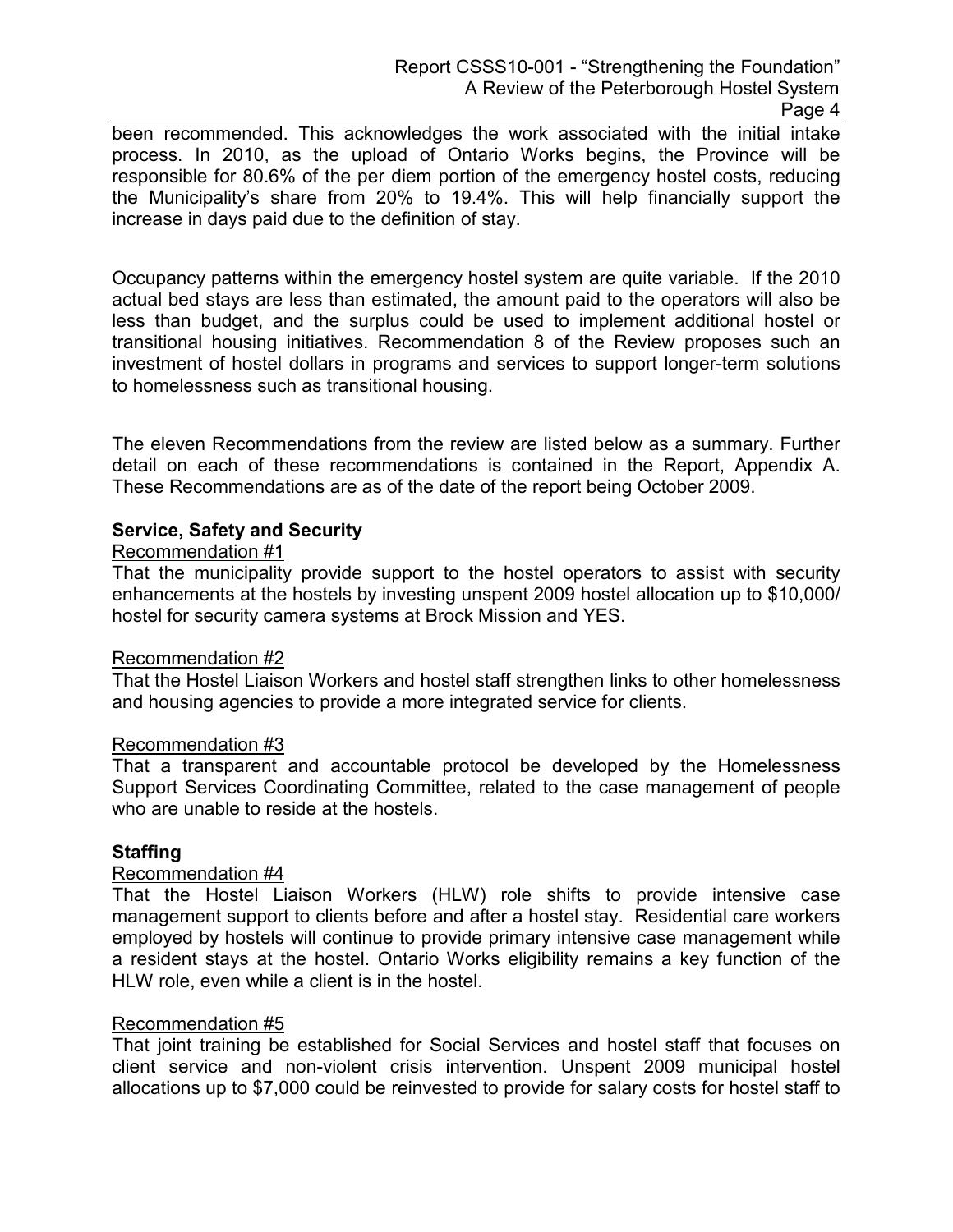been recommended. This acknowledges the work associated with the initial intake process. In 2010, as the upload of Ontario Works begins, the Province will be responsible for 80.6% of the per diem portion of the emergency hostel costs, reducing the Municipality's share from 20% to 19.4%. This will help financially support the increase in days paid due to the definition of stay.

Occupancy patterns within the emergency hostel system are quite variable. If the 2010 actual bed stays are less than estimated, the amount paid to the operators will also be less than budget, and the surplus could be used to implement additional hostel or transitional housing initiatives. Recommendation 8 of the Review proposes such an investment of hostel dollars in programs and services to support longer-term solutions to homelessness such as transitional housing.

The eleven Recommendations from the review are listed below as a summary. Further detail on each of these recommendations is contained in the Report, Appendix A. These Recommendations are as of the date of the report being October 2009.

### Service, Safety and Security

#### Recommendation #1

That the municipality provide support to the hostel operators to assist with security enhancements at the hostels by investing unspent 2009 hostel allocation up to \$10,000/ hostel for security camera systems at Brock Mission and YES.

#### Recommendation #2

That the Hostel Liaison Workers and hostel staff strengthen links to other homelessness and housing agencies to provide a more integrated service for clients.

#### Recommendation #3

That a transparent and accountable protocol be developed by the Homelessness Support Services Coordinating Committee, related to the case management of people who are unable to reside at the hostels.

#### Staffing

#### Recommendation #4

That the Hostel Liaison Workers (HLW) role shifts to provide intensive case management support to clients before and after a hostel stay. Residential care workers employed by hostels will continue to provide primary intensive case management while a resident stays at the hostel. Ontario Works eligibility remains a key function of the HLW role, even while a client is in the hostel.

#### Recommendation #5

That joint training be established for Social Services and hostel staff that focuses on client service and non-violent crisis intervention. Unspent 2009 municipal hostel allocations up to \$7,000 could be reinvested to provide for salary costs for hostel staff to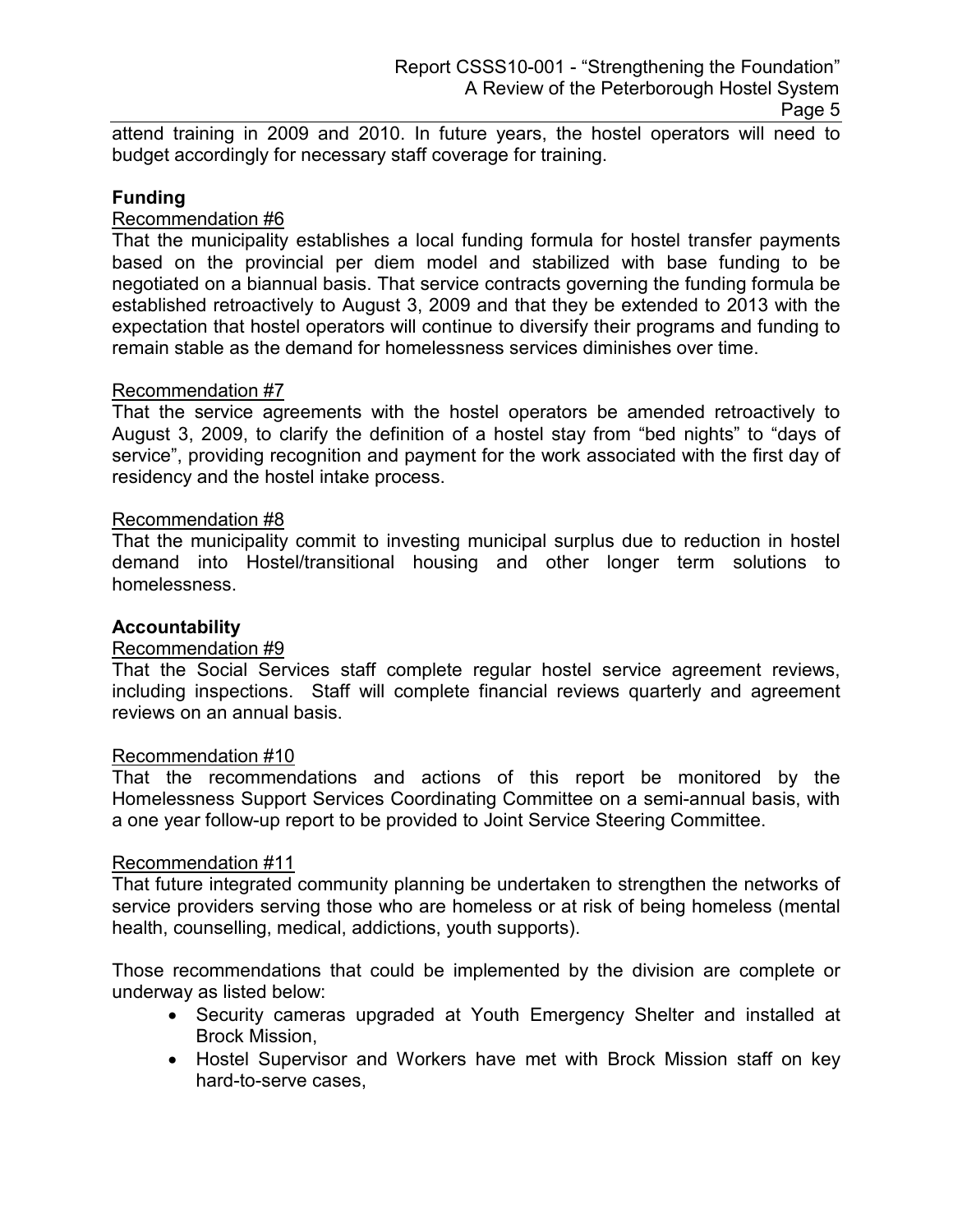attend training in 2009 and 2010. In future years, the hostel operators will need to budget accordingly for necessary staff coverage for training.

### **Funding**

### Recommendation #6

That the municipality establishes a local funding formula for hostel transfer payments based on the provincial per diem model and stabilized with base funding to be negotiated on a biannual basis. That service contracts governing the funding formula be established retroactively to August 3, 2009 and that they be extended to 2013 with the expectation that hostel operators will continue to diversify their programs and funding to remain stable as the demand for homelessness services diminishes over time.

### Recommendation #7

That the service agreements with the hostel operators be amended retroactively to August 3, 2009, to clarify the definition of a hostel stay from "bed nights" to "days of service", providing recognition and payment for the work associated with the first day of residency and the hostel intake process.

#### Recommendation #8

That the municipality commit to investing municipal surplus due to reduction in hostel demand into Hostel/transitional housing and other longer term solutions to homelessness.

#### **Accountability**

#### Recommendation #9

That the Social Services staff complete regular hostel service agreement reviews, including inspections. Staff will complete financial reviews quarterly and agreement reviews on an annual basis.

#### Recommendation #10

That the recommendations and actions of this report be monitored by the Homelessness Support Services Coordinating Committee on a semi-annual basis, with a one year follow-up report to be provided to Joint Service Steering Committee.

#### Recommendation #11

That future integrated community planning be undertaken to strengthen the networks of service providers serving those who are homeless or at risk of being homeless (mental health, counselling, medical, addictions, youth supports).

Those recommendations that could be implemented by the division are complete or underway as listed below:

- Security cameras upgraded at Youth Emergency Shelter and installed at Brock Mission,
- Hostel Supervisor and Workers have met with Brock Mission staff on key hard-to-serve cases,